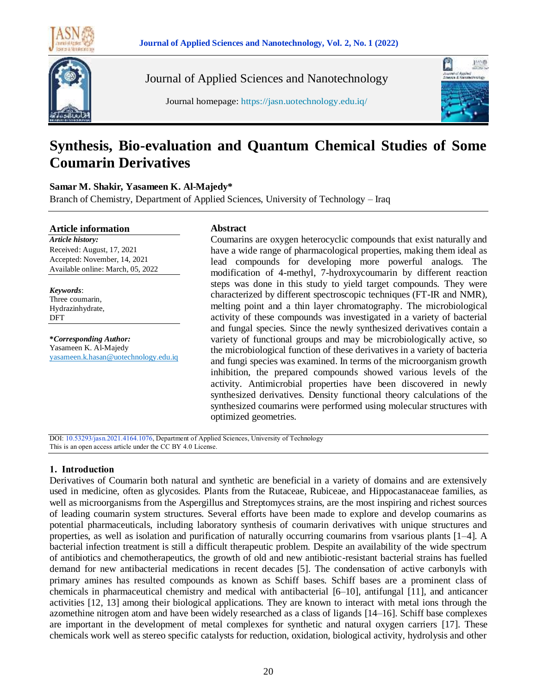



Journal of Applied Sciences and Nanotechnology



Journal homepage: https://jasn.uotechnology.edu.iq/

# **Synthesis, Bio-evaluation and Quantum Chemical Studies of Some Coumarin Derivatives**

## **Samar M. Shakir, Yasameen K. Al-Majedy\***

Branch of Chemistry, Department of Applied Sciences, University of Technology – Iraq

#### **Article information**

*Article history:* Received: August, 17, 2021 Accepted: November, 14, 2021 Available online: March, 05, 2022

*Keywords*: Three coumarin, Hydrazinhydrate, DFT

**\****Corresponding Author:* Yasameen K. Al-Majedy yasameen.k.hasan@uotechnology.edu.iq

## **Abstract**

Coumarins are oxygen heterocyclic compounds that exist naturally and have a wide range of pharmacological properties, making them ideal as lead compounds for developing more powerful analogs. The modification of 4-methyl, 7-hydroxycoumarin by different reaction steps was done in this study to yield target compounds. They were characterized by different spectroscopic techniques (FT-IR and NMR), melting point and a thin layer chromatography. The microbiological activity of these compounds was investigated in a variety of bacterial and fungal species. Since the newly synthesized derivatives contain a variety of functional groups and may be microbiologically active, so the microbiological function of these derivatives in a variety of bacteria and fungi species was examined. In terms of the microorganism growth inhibition, the prepared compounds showed various levels of the activity. Antimicrobial properties have been discovered in newly synthesized derivatives. Density functional theory calculations of the synthesized coumarins were performed using molecular structures with optimized geometries.

DOI: 10.53293/jasn.2021.4164.1076, Department of Applied Sciences, University of Technology This is an open access article under the CC BY 4.0 License.

# **1. Introduction**

Derivatives of Coumarin both natural and synthetic are beneficial in a variety of domains and are extensively used in medicine, often as glycosides. Plants from the Rutaceae, Rubiceae, and Hippocastanaceae families, as well as microorganisms from the Aspergillus and Streptomyces strains, are the most inspiring and richest sources of leading coumarin system structures. Several efforts have been made to explore and develop coumarins as potential pharmaceuticals, including laboratory synthesis of coumarin derivatives with unique structures and properties, as well as isolation and purification of naturally occurring coumarins from vsarious plants [1–4]. A bacterial infection treatment is still a difficult therapeutic problem. Despite an availability of the wide spectrum of antibiotics and chemotherapeutics, the growth of old and new antibiotic-resistant bacterial strains has fuelled demand for new antibacterial medications in recent decades [5]. The condensation of active carbonyls with primary amines has resulted compounds as known as Schiff bases. Schiff bases are a prominent class of chemicals in pharmaceutical chemistry and medical with antibacterial [6–10], antifungal [11], and anticancer activities [12, 13] among their biological applications. They are known to interact with metal ions through the azomethine nitrogen atom and have been widely researched as a class of ligands [14–16]. Schiff base complexes are important in the development of metal complexes for synthetic and natural oxygen carriers [17]. These chemicals work well as stereo specific catalysts for reduction, oxidation, biological activity, hydrolysis and other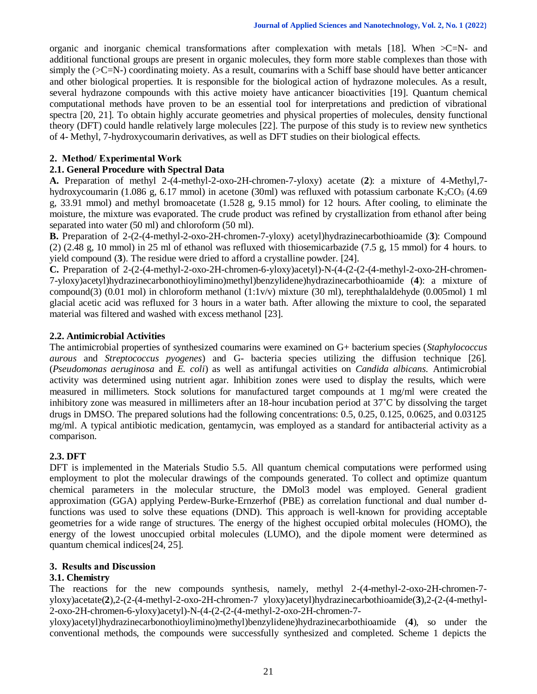organic and inorganic chemical transformations after complexation with metals [18]. When  $\geq C=N$ - and additional functional groups are present in organic molecules, they form more stable complexes than those with simply the  $(\geq C=N)$  coordinating moiety. As a result, coumarins with a Schiff base should have better anticancer and other biological properties. It is responsible for the biological action of hydrazone molecules. As a result, several hydrazone compounds with this active moiety have anticancer bioactivities [19]. Quantum chemical computational methods have proven to be an essential tool for interpretations and prediction of vibrational spectra [20, 21]. To obtain highly accurate geometries and physical properties of molecules, density functional theory (DFT) could handle relatively large molecules [22]. The purpose of this study is to review new synthetics of 4- Methyl, 7-hydroxycoumarin derivatives, as well as DFT studies on their biological effects.

#### **2. Method/ Experimental Work**

### **2.1. General Procedure with Spectral Data**

**A.** Preparation of methyl 2-(4-methyl-2-oxo-2H-chromen-7-yloxy) acetate (**2**): a mixture of 4-Methyl,7 hydroxycoumarin (1.086 g, 6.17 mmol) in acetone (30ml) was refluxed with potassium carbonate K<sub>2</sub>CO<sub>3</sub> (4.69) g, 33.91 mmol) and methyl bromoacetate (1.528 g, 9.15 mmol) for 12 hours. After cooling, to eliminate the moisture, the mixture was evaporated. The crude product was refined by crystallization from ethanol after being separated into water (50 ml) and chloroform (50 ml).

**B.** Preparation of 2-(2-(4-methyl-2-oxo-2H-chromen-7-yloxy) acetyl)hydrazinecarbothioamide (**3**): Compound (2) (2.48 g, 10 mmol) in 25 ml of ethanol was refluxed with thiosemicarbazide (7.5 g, 15 mmol) for 4 hours. to yield compound (**3**). The residue were dried to afford a crystalline powder. [24].

**C.** Preparation of 2-(2-(4-methyl-2-oxo-2H-chromen-6-yloxy)acetyl)-N-(4-(2-(2-(4-methyl-2-oxo-2H-chromen-7-yloxy)acetyl)hydrazinecarbonothioylimino)methyl)benzylidene)hydrazinecarbothioamide (**4**): a mixture of compound(3) (0.01 mol) in chloroform methanol  $(1:1v/v)$  mixture (30 ml), terephthalaldehyde (0.005mol) 1 ml glacial acetic acid was refluxed for 3 hours in a water bath. After allowing the mixture to cool, the separated material was filtered and washed with excess methanol [23].

#### **2.2. Antimicrobial Activities**

The antimicrobial properties of synthesized coumarins were examined on G+ bacterium species (*Staphylococcus aurous* and *Streptococcus pyogenes*) and G- bacteria species utilizing the diffusion technique [26]. (*Pseudomonas aeruginosa* and *E. coli*) as well as antifungal activities on *Candida albicans.* Antimicrobial activity was determined using nutrient agar. Inhibition zones were used to display the results, which were measured in millimeters. Stock solutions for manufactured target compounds at 1 mg/ml were created the inhibitory zone was measured in millimeters after an 18-hour incubation period at 37˚C by dissolving the target drugs in DMSO. The prepared solutions had the following concentrations: 0.5, 0.25, 0.125, 0.0625, and 0.03125 mg/ml. A typical antibiotic medication, gentamycin, was employed as a standard for antibacterial activity as a comparison.

#### **2.3. DFT**

DFT is implemented in the Materials Studio 5.5. All quantum chemical computations were performed using employment to plot the molecular drawings of the compounds generated. To collect and optimize quantum chemical parameters in the molecular structure, the DMol3 model was employed. General gradient approximation (GGA) applying Perdew-Burke-Ernzerhof (PBE) as correlation functional and dual number dfunctions was used to solve these equations (DND). This approach is well-known for providing acceptable geometries for a wide range of structures. The energy of the highest occupied orbital molecules (HOMO), the energy of the lowest unoccupied orbital molecules (LUMO), and the dipole moment were determined as quantum chemical indices[24, 25].

#### **3. Results and Discussion**

#### **3.1. Chemistry**

The reactions for the new compounds synthesis, namely, methyl 2-(4-methyl-2-oxo-2H-chromen-7 yloxy)acetate(**2**),2-(2-(4-methyl-2-oxo-2H-chromen-7 yloxy)acetyl)hydrazinecarbothioamide(**3**),2-(2-(4-methyl-2-oxo-2H-chromen-6-yloxy)acetyl)-N-(4-(2-(2-(4-methyl-2-oxo-2H-chromen-7-

yloxy)acetyl)hydrazinecarbonothioylimino)methyl)benzylidene)hydrazinecarbothioamide (**4**), so under the conventional methods, the compounds were successfully synthesized and completed. Scheme 1 depicts the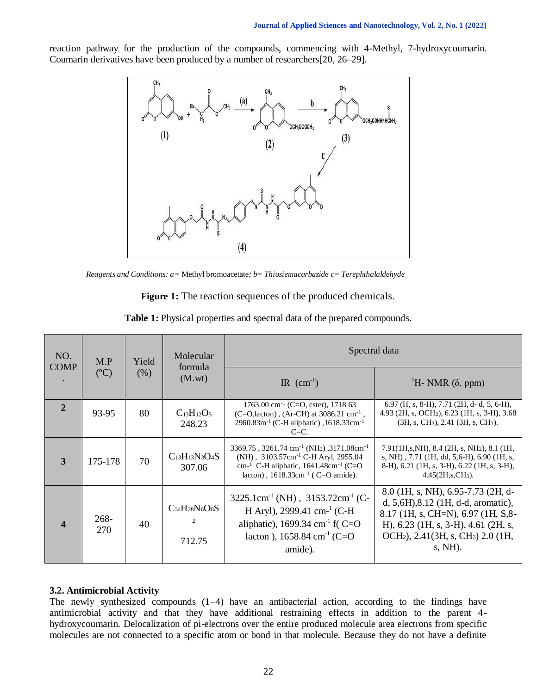reaction pathway for the production of the compounds, commencing with 4-Methyl, 7-hydroxycoumarin. Coumarin derivatives have been produced by a number of researchers[20, 26–29].



*Reagents and Conditions: a=* Methyl bromoacetate*; b= Thiosiemacarbazide c= Terephthalaldehyde*

| <b>Figure 1:</b> The reaction sequences of the produced chemicals. |  |  |
|--------------------------------------------------------------------|--|--|
|--------------------------------------------------------------------|--|--|

| NO.                        | M.P               | Yield          | Molecular                           | Spectral data                                                                                                                                                                                                                                         |                                                                                                                                                                                                                                              |  |  |
|----------------------------|-------------------|----------------|-------------------------------------|-------------------------------------------------------------------------------------------------------------------------------------------------------------------------------------------------------------------------------------------------------|----------------------------------------------------------------------------------------------------------------------------------------------------------------------------------------------------------------------------------------------|--|--|
| <b>COMP</b><br>(C)<br>(% ) | formula<br>(M.wt) | IR $(cm^{-1})$ | <sup>1</sup> H- NMR $(\delta,$ ppm) |                                                                                                                                                                                                                                                       |                                                                                                                                                                                                                                              |  |  |
| $\overline{2}$             | 93-95             | 80             | $C_{13}H_{12}O_5$<br>248.23         | $1763.00$ cm <sup>-1</sup> (C=O, ester), 1718.63<br>(C=O, lacton), (Ar-CH) at $3086.21$ cm <sup>-1</sup> ,<br>2960.83m <sup>-1</sup> (C-H aliphatic), 1618.33cm <sup>-1</sup><br>$C=C$ .                                                              | $6.97$ (H, s, 8-H), 7.71 (2H, d-d, 5, 6-H),<br>4.93 (2H, s, OCH <sub>2</sub> ), 6.23 (1H, s, 3-H), 3.68<br>$(3H, s, CH3), 2.41 (3H, s, CH3).$                                                                                                |  |  |
| $\overline{3}$             | 175-178           | 70             | $C_{13}H_{13}N_3O_4S$<br>307.06     | 3369.75, 3261.74 cm <sup>-1</sup> (NH <sub>2</sub> ), 3171.08cm <sup>-1</sup><br>(NH), 3103.57cm <sup>-1</sup> C-H Aryl, 2955.04<br>cm <sup>-1</sup> C-H aliphatic, $1641.48$ cm <sup>-1</sup> (C=O<br>lacton), $1618.33 \text{cm}^{-1}$ (C=O amide). | $7.91(1H,s,NH)$ , 8.4 (2H, s, NH <sub>2</sub> ), 8.1 (1H,<br>s, NH), 7.71 (1H, dd, 5,6-H), 6.90 (1H, s,<br>8-H), 6.21 (1H, s, 3-H), 6.22 (1H, s, 3-H),<br>$4.45(2H,s,CH_3).$                                                                 |  |  |
| $\boldsymbol{\Delta}$      | $268 -$<br>270    | 40             | $C_{34}H_{28}N_6O_8S$<br>712.75     | $3225.1$ cm <sup>-1</sup> (NH), $3153.72$ cm <sup>-1</sup> (C-<br>H Aryl), 2999.41 cm <sup>-1</sup> (C-H<br>aliphatic), 1699.34 cm <sup>-1</sup> f( $C = O$<br>lacton), 1658.84 cm <sup>-1</sup> (C=O<br>amide).                                      | 8.0 (1H, s, NH), 6.95-7.73 (2H, d-<br>$d, 5, 6H, 8.12$ (1H, d-d, aromatic),<br>8.17 (1H, s, CH=N), 6.97 (1H, S, 8-<br>H), 6.23 (1H, s, 3-H), 4.61 (2H, s,<br>OCH <sub>2</sub> ), 2.41(3H, s, CH <sub>3</sub> ) 2.0 (1H,<br>$s, \text{NH}$ ). |  |  |

**Table 1:** Physical properties and spectral data of the prepared compounds.

#### **3.2. Antimicrobial Activity**

The newly synthesized compounds (1–4) have an antibacterial action, according to the findings have antimicrobial activity and that they have additional restraining effects in addition to the parent 4 hydroxycoumarin. Delocalization of pi-electrons over the entire produced molecule area electrons from specific molecules are not connected to a specific atom or bond in that molecule. Because they do not have a definite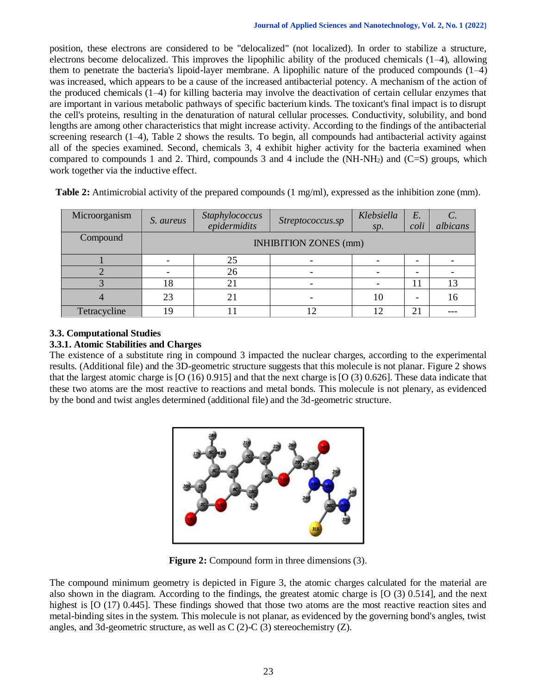position, these electrons are considered to be "delocalized" (not localized). In order to stabilize a structure, electrons become delocalized. This improves the lipophilic ability of the produced chemicals (1–4), allowing them to penetrate the bacteria's lipoid-layer membrane. A lipophilic nature of the produced compounds (1–4) was increased, which appears to be a cause of the increased antibacterial potency. A mechanism of the action of the produced chemicals (1–4) for killing bacteria may involve the deactivation of certain cellular enzymes that are important in various metabolic pathways of specific bacterium kinds. The toxicant's final impact is to disrupt the cell's proteins, resulting in the denaturation of natural cellular processes. Conductivity, solubility, and bond lengths are among other characteristics that might increase activity. According to the findings of the antibacterial screening research (1–4), Table 2 shows the results. To begin, all compounds had antibacterial activity against all of the species examined. Second, chemicals 3, 4 exhibit higher activity for the bacteria examined when compared to compounds 1 and 2. Third, compounds 3 and 4 include the (NH-NH2) and (C=S) groups, which work together via the inductive effect.

| Microorganism | S. aureus                    | Staphylococcus<br>epidermidits | Streptococcus.sp | Klebsiella<br>sp. | $E$ .<br>coli            | $\mathcal{C}$ .<br>albicans |
|---------------|------------------------------|--------------------------------|------------------|-------------------|--------------------------|-----------------------------|
| Compound      | <b>INHIBITION ZONES</b> (mm) |                                |                  |                   |                          |                             |
|               |                              | 25                             |                  |                   |                          |                             |
|               |                              | 26                             |                  |                   | $\overline{\phantom{0}}$ |                             |
|               | 18                           |                                | -                |                   |                          | 13                          |
|               | 23                           | 21                             |                  | 10                |                          | 16                          |
| Tetracycline  | 1 Q                          |                                |                  | 12                | 21                       |                             |

**Table 2:** Antimicrobial activity of the prepared compounds (1 mg/ml), expressed as the inhibition zone (mm).

# **3.3. Computational Studies**

#### **3.3.1. Atomic Stabilities and Charges**

The existence of a substitute ring in compound 3 impacted the nuclear charges, according to the experimental results. (Additional file) and the 3D-geometric structure suggests that this molecule is not planar. Figure 2 shows that the largest atomic charge is [O (16) 0.915] and that the next charge is [O (3) 0.626]. These data indicate that these two atoms are the most reactive to reactions and metal bonds. This molecule is not plenary, as evidenced by the bond and twist angles determined (additional file) and the 3d-geometric structure.



**Figure 2:** Compound form in three dimensions (3).

The compound minimum geometry is depicted in Figure 3, the atomic charges calculated for the material are also shown in the diagram. According to the findings, the greatest atomic charge is [O (3) 0.514], and the next highest is [O (17) 0.445]. These findings showed that those two atoms are the most reactive reaction sites and metal-binding sites in the system. This molecule is not planar, as evidenced by the governing bond's angles, twist angles, and 3d-geometric structure, as well as  $C(2)$ -C $(3)$  stereochemistry  $(Z)$ .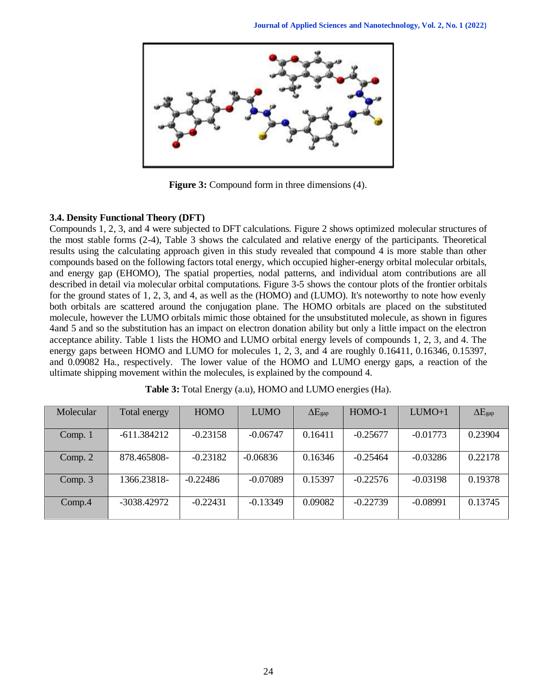

**Figure 3:** Compound form in three dimensions (4).

#### **3.4. Density Functional Theory (DFT)**

Compounds 1, 2, 3, and 4 were subjected to DFT calculations. Figure 2 shows optimized molecular structures of the most stable forms (2-4), Table 3 shows the calculated and relative energy of the participants. Theoretical results using the calculating approach given in this study revealed that compound 4 is more stable than other compounds based on the following factors total energy, which occupied higher-energy orbital molecular orbitals, and energy gap (EHOMO), The spatial properties, nodal patterns, and individual atom contributions are all described in detail via molecular orbital computations. Figure 3-5 shows the contour plots of the frontier orbitals for the ground states of 1, 2, 3, and 4, as well as the (HOMO) and (LUMO). It's noteworthy to note how evenly both orbitals are scattered around the conjugation plane. The HOMO orbitals are placed on the substituted molecule, however the LUMO orbitals mimic those obtained for the unsubstituted molecule, as shown in figures 4and 5 and so the substitution has an impact on electron donation ability but only a little impact on the electron acceptance ability. Table 1 lists the HOMO and LUMO orbital energy levels of compounds 1, 2, 3, and 4. The energy gaps between HOMO and LUMO for molecules 1, 2, 3, and 4 are roughly 0.16411, 0.16346, 0.15397, and 0.09082 Ha., respectively. The lower value of the HOMO and LUMO energy gaps, a reaction of the ultimate shipping movement within the molecules, is explained by the compound 4.

| Molecular | Total energy  | <b>HOMO</b> | <b>LUMO</b> | $\Delta E_{\text{gap}}$ | HOMO-1     | $LUMO+1$   | $\Delta E_{\text{gap}}$ |
|-----------|---------------|-------------|-------------|-------------------------|------------|------------|-------------------------|
|           |               |             |             |                         |            |            |                         |
| Comp. 1   | $-611.384212$ | $-0.23158$  | $-0.06747$  | 0.16411                 | $-0.25677$ | $-0.01773$ | 0.23904                 |
|           |               |             |             |                         |            |            |                         |
| Comp. 2   | 878.465808-   | $-0.23182$  | $-0.06836$  | 0.16346                 | $-0.25464$ | $-0.03286$ | 0.22178                 |
|           |               |             |             |                         |            |            |                         |
| Comp. 3   | 1366.23818-   | $-0.22486$  | $-0.07089$  | 0.15397                 | $-0.22576$ | $-0.03198$ | 0.19378                 |
|           |               |             |             |                         |            |            |                         |
| Comp.4    | -3038.42972   | $-0.22431$  | $-0.13349$  | 0.09082                 | $-0.22739$ | $-0.08991$ | 0.13745                 |
|           |               |             |             |                         |            |            |                         |

|  | Table 3: Total Energy (a.u), HOMO and LUMO energies (Ha). |  |  |
|--|-----------------------------------------------------------|--|--|
|--|-----------------------------------------------------------|--|--|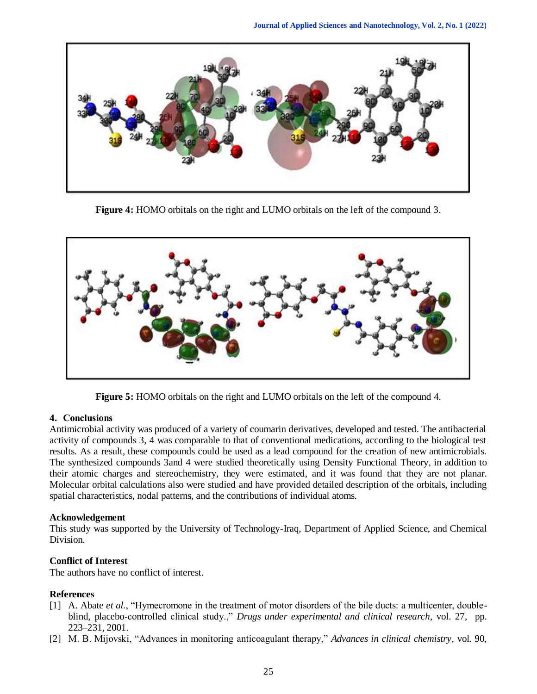

**Figure 4:** HOMO orbitals on the right and LUMO orbitals on the left of the compound 3.



**Figure 5:** HOMO orbitals on the right and LUMO orbitals on the left of the compound 4.

#### **4. Conclusions**

Antimicrobial activity was produced of a variety of coumarin derivatives, developed and tested. The antibacterial activity of compounds 3, 4 was comparable to that of conventional medications, according to the biological test results. As a result, these compounds could be used as a lead compound for the creation of new antimicrobials. The synthesized compounds 3and 4 were studied theoretically using Density Functional Theory, in addition to their atomic charges and stereochemistry, they were estimated, and it was found that they are not planar. Molecular orbital calculations also were studied and have provided detailed description of the orbitals, including spatial characteristics, nodal patterns, and the contributions of individual atoms.

#### **Acknowledgement**

This study was supported by the University of Technology-Iraq, Department of Applied Science, and Chemical Division.

# **Conflict of Interest**

The authors have no conflict of interest.

#### **References**

- [1] A. Abate *et al.*, "Hymecromone in the treatment of motor disorders of the bile ducts: a multicenter, doubleblind, placebo-controlled clinical study.," *Drugs under experimental and clinical research*, vol. 27, pp. 223–231, 2001.
- [2] M. B. Mijovski, "Advances in monitoring anticoagulant therapy," *Advances in clinical chemistry*, vol. 90,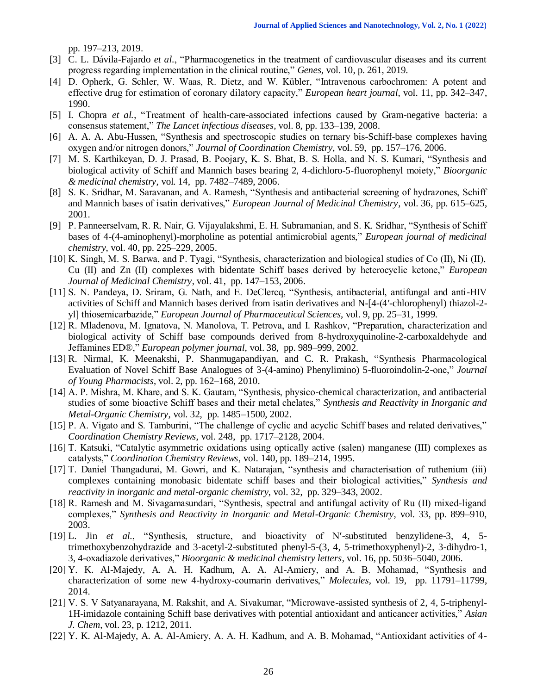pp. 197–213, 2019.

- [3] C. L. Dávila-Fajardo *et al.*, "Pharmacogenetics in the treatment of cardiovascular diseases and its current progress regarding implementation in the clinical routine," *Genes*, vol. 10, p. 261, 2019.
- [4] D. Opherk, G. Schler, W. Waas, R. Dietz, and W. Kübler, "Intravenous carbochromen: A potent and effective drug for estimation of coronary dilatory capacity," *European heart journal*, vol. 11, pp. 342–347, 1990.
- [5] I. Chopra *et al.*, "Treatment of health-care-associated infections caused by Gram-negative bacteria: a consensus statement," *The Lancet infectious diseases*, vol. 8, pp. 133–139, 2008.
- [6] A. A. A. Abu-Hussen, "Synthesis and spectroscopic studies on ternary bis-Schiff-base complexes having oxygen and/or nitrogen donors," *Journal of Coordination Chemistry*, vol. 59, pp. 157–176, 2006.
- [7] M. S. Karthikeyan, D. J. Prasad, B. Poojary, K. S. Bhat, B. S. Holla, and N. S. Kumari, "Synthesis and biological activity of Schiff and Mannich bases bearing 2, 4-dichloro-5-fluorophenyl moiety," *Bioorganic & medicinal chemistry*, vol. 14, pp. 7482–7489, 2006.
- [8] S. K. Sridhar, M. Saravanan, and A. Ramesh, "Synthesis and antibacterial screening of hydrazones, Schiff and Mannich bases of isatin derivatives," *European Journal of Medicinal Chemistry*, vol. 36, pp. 615–625, 2001.
- [9] P. Panneerselvam, R. R. Nair, G. Vijayalakshmi, E. H. Subramanian, and S. K. Sridhar, "Synthesis of Schiff bases of 4-(4-aminophenyl)-morpholine as potential antimicrobial agents," *European journal of medicinal chemistry*, vol. 40, pp. 225–229, 2005.
- [10] K. Singh, M. S. Barwa, and P. Tyagi, "Synthesis, characterization and biological studies of Co (II), Ni (II), Cu (II) and Zn (II) complexes with bidentate Schiff bases derived by heterocyclic ketone," *European Journal of Medicinal Chemistry*, vol. 41, pp. 147–153, 2006.
- [11] S. N. Pandeya, D. Sriram, G. Nath, and E. DeClercq, "Synthesis, antibacterial, antifungal and anti-HIV activities of Schiff and Mannich bases derived from isatin derivatives and N-[4-(4′-chlorophenyl) thiazol-2 yl] thiosemicarbazide," *European Journal of Pharmaceutical Sciences*, vol. 9, pp. 25–31, 1999.
- [12] R. Mladenova, M. Ignatova, N. Manolova, T. Petrova, and I. Rashkov, "Preparation, characterization and biological activity of Schiff base compounds derived from 8-hydroxyquinoline-2-carboxaldehyde and Jeffamines ED®," *European polymer journal*, vol. 38, pp. 989–999, 2002.
- [13] R. Nirmal, K. Meenakshi, P. Shanmugapandiyan, and C. R. Prakash, "Synthesis Pharmacological Evaluation of Novel Schiff Base Analogues of 3-(4-amino) Phenylimino) 5-fluoroindolin-2-one," *Journal of Young Pharmacists*, vol. 2, pp. 162–168, 2010.
- [14] A. P. Mishra, M. Khare, and S. K. Gautam, "Synthesis, physico-chemical characterization, and antibacterial studies of some bioactive Schiff bases and their metal chelates," *Synthesis and Reactivity in Inorganic and Metal-Organic Chemistry*, vol. 32, pp. 1485–1500, 2002.
- [15] P. A. Vigato and S. Tamburini, "The challenge of cyclic and acyclic Schiff bases and related derivatives," *Coordination Chemistry Reviews*, vol. 248, pp. 1717–2128, 2004.
- [16] T. Katsuki, "Catalytic asymmetric oxidations using optically active (salen) manganese (III) complexes as catalysts," *Coordination Chemistry Reviews*, vol. 140, pp. 189–214, 1995.
- [17] T. Daniel Thangadurai, M. Gowri, and K. Natarajan, "synthesis and characterisation of ruthenium (iii) complexes containing monobasic bidentate schiff bases and their biological activities," *Synthesis and reactivity in inorganic and metal-organic chemistry*, vol. 32, pp. 329–343, 2002.
- [18] R. Ramesh and M. Sivagamasundari, "Synthesis, spectral and antifungal activity of Ru (II) mixed‐ligand complexes," *Synthesis and Reactivity in Inorganic and Metal-Organic Chemistry*, vol. 33, pp. 899–910, 2003.
- [19] L. Jin *et al.*, "Synthesis, structure, and bioactivity of N′-substituted benzylidene-3, 4, 5 trimethoxybenzohydrazide and 3-acetyl-2-substituted phenyl-5-(3, 4, 5-trimethoxyphenyl)-2, 3-dihydro-1, 3, 4-oxadiazole derivatives," *Bioorganic & medicinal chemistry letters*, vol. 16, pp. 5036–5040, 2006.
- [20] Y. K. Al-Majedy, A. A. H. Kadhum, A. A. Al-Amiery, and A. B. Mohamad, "Synthesis and characterization of some new 4-hydroxy-coumarin derivatives," *Molecules*, vol. 19, pp. 11791–11799, 2014.
- [21] V. S. V Satyanarayana, M. Rakshit, and A. Sivakumar, "Microwave-assisted synthesis of 2, 4, 5-triphenyl-1H-imidazole containing Schiff base derivatives with potential antioxidant and anticancer activities," *Asian J. Chem*, vol. 23, p. 1212, 2011.
- [22] Y. K. Al-Majedy, A. A. Al-Amiery, A. A. H. Kadhum, and A. B. Mohamad, "Antioxidant activities of 4-